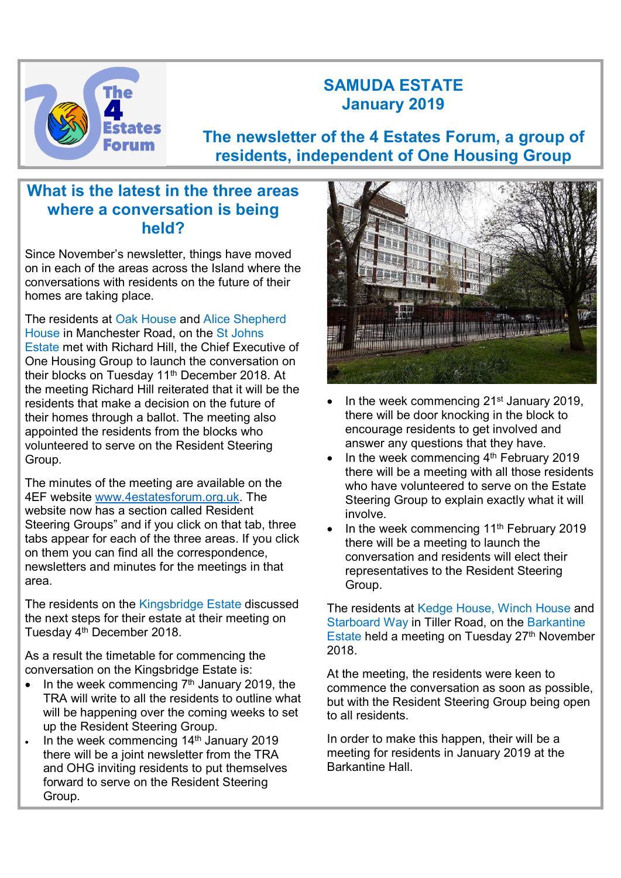

# SAMUDA ESTATE January 2019

The newsletter of the 4 Estates Forum, a group of residents, independent of One Housing Group

## What is the latest in the three areas where a conversation is being held?

Since November's newsletter, things have moved on in each of the areas across the Island where the conversations with residents on the future of their homes are taking place.

The residents at Oak House and Alice Shepherd House in Manchester Road, on the St Johns Estate met with Richard Hill, the Chief Executive of One Housing Group to launch the conversation on their blocks on Tuesday 11th December 2018. At the meeting Richard Hill reiterated that it will be the residents that make a decision on the future of their homes through a ballot. The meeting also appointed the residents from the blocks who volunteered to serve on the Resident Steering Group.

The minutes of the meeting are available on the 4EF website www.4estatesforum.org.uk. The website now has a section called Resident Steering Groups" and if you click on that tab, three tabs appear for each of the three areas. If you click on them you can find all the correspondence, newsletters and minutes for the meetings in that area.

The residents on the Kingsbridge Estate discussed the next steps for their estate at their meeting on Tuesday 4th December 2018.

As a result the timetable for commencing the conversation on the Kingsbridge Estate is:

- $\bullet$  In the week commencing  $7<sup>th</sup>$  January 2019, the TRA will write to all the residents to outline what will be happening over the coming weeks to set up the Resident Steering Group.
- In the week commencing 14<sup>th</sup> January 2019 there will be a joint newsletter from the TRA and OHG inviting residents to put themselves forward to serve on the Resident Steering Group.



- In the week commencing 21<sup>st</sup> January 2019, there will be door knocking in the block to encourage residents to get involved and answer any questions that they have.
- In the week commencing  $4<sup>th</sup>$  February 2019 there will be a meeting with all those residents who have volunteered to serve on the Estate Steering Group to explain exactly what it will involve.
- In the week commencing 11<sup>th</sup> February 2019 there will be a meeting to launch the conversation and residents will elect their representatives to the Resident Steering Group.

The residents at Kedge House, Winch House and Starboard Way in Tiller Road, on the Barkantine Estate held a meeting on Tuesday 27th November 2018.

At the meeting, the residents were keen to commence the conversation as soon as possible, but with the Resident Steering Group being open to all residents.

In order to make this happen, their will be a meeting for residents in January 2019 at the Barkantine Hall.